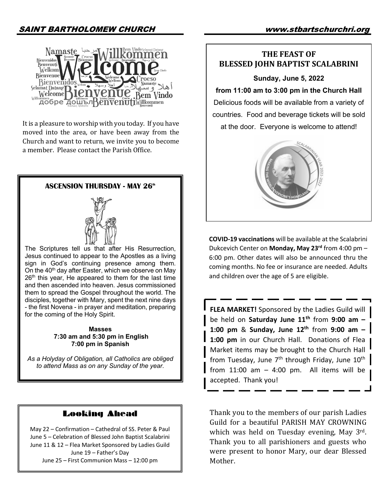# SAINT BARTHOLOMEW CHURCH www.stbartschurchri.org



It is a pleasure to worship with you today. If you have moved into the area, or have been away from the Church and want to return, we invite you to become a member. Please contact the Parish Office.

### **ASCENSION THURSDAY - MAY 26<sup>th</sup>**



The Scriptures tell us that after His Resurrection, Jesus continued to appear to the Apostles as a living sign in God's continuing presence among them. On the  $40<sup>th</sup>$  day after Easter, which we observe on May  $26<sup>th</sup>$  this year, He appeared to them for the last time and then ascended into heaven. Jesus commissioned them to spread the Gospel throughout the world. The disciples, together with Mary, spent the next nine days - the first Novena - in prayer and meditation, preparing for the coming of the Holy Spirit.

#### **Masses 7:30 am and 5:30 pm in English 7:00 pm in Spanish**

*As a Holyday of Obligation, all Catholics are obliged to attend Mass as on any Sunday of the year.*

# Looking Ahead

May 22 – Confirmation – Cathedral of SS. Peter & Paul June 5 – Celebration of Blessed John Baptist Scalabrini June 11 & 12 – Flea Market Sponsored by Ladies Guild June 19 – Father's Day June 25 – First Communion Mass – 12:00 pm

# **THE FEAST OF BLESSED JOHN BAPTIST SCALABRINI**

#### **Sunday, June 5, 2022**

**from 11:00 am to 3:00 pm in the Church Hall** Delicious foods will be available from a variety of countries. Food and beverage tickets will be sold at the door. Everyone is welcome to attend!



**COVID-19 vaccinations** will be available at the Scalabrini Dukcevich Center on **Monday, May 23rd** from 4:00 pm – 6:00 pm. Other dates will also be announced thru the coming months. No fee or insurance are needed. Adults and children over the age of 5 are eligible.

**FLEA MARKET!** Sponsored by the Ladies Guild will be held on **Saturday June 11th** from **9:00 am – 1:00 pm** & **Sunday, June 12th** from **9:00 am – 1:00 pm** in our Church Hall. Donations of Flea Market items may be brought to the Church Hall from Tuesday, June  $7<sup>th</sup>$  through Friday, June  $10<sup>th</sup>$ from  $11:00$  am  $-$  4:00 pm. All items will be accepted. Thank you!

Thank you to the members of our parish Ladies Guild for a beautiful PARISH MAY CROWNING which was held on Tuesday evening, May  $3^{rd}$ . Thank you to all parishioners and guests who were present to honor Mary, our dear Blessed Mother.